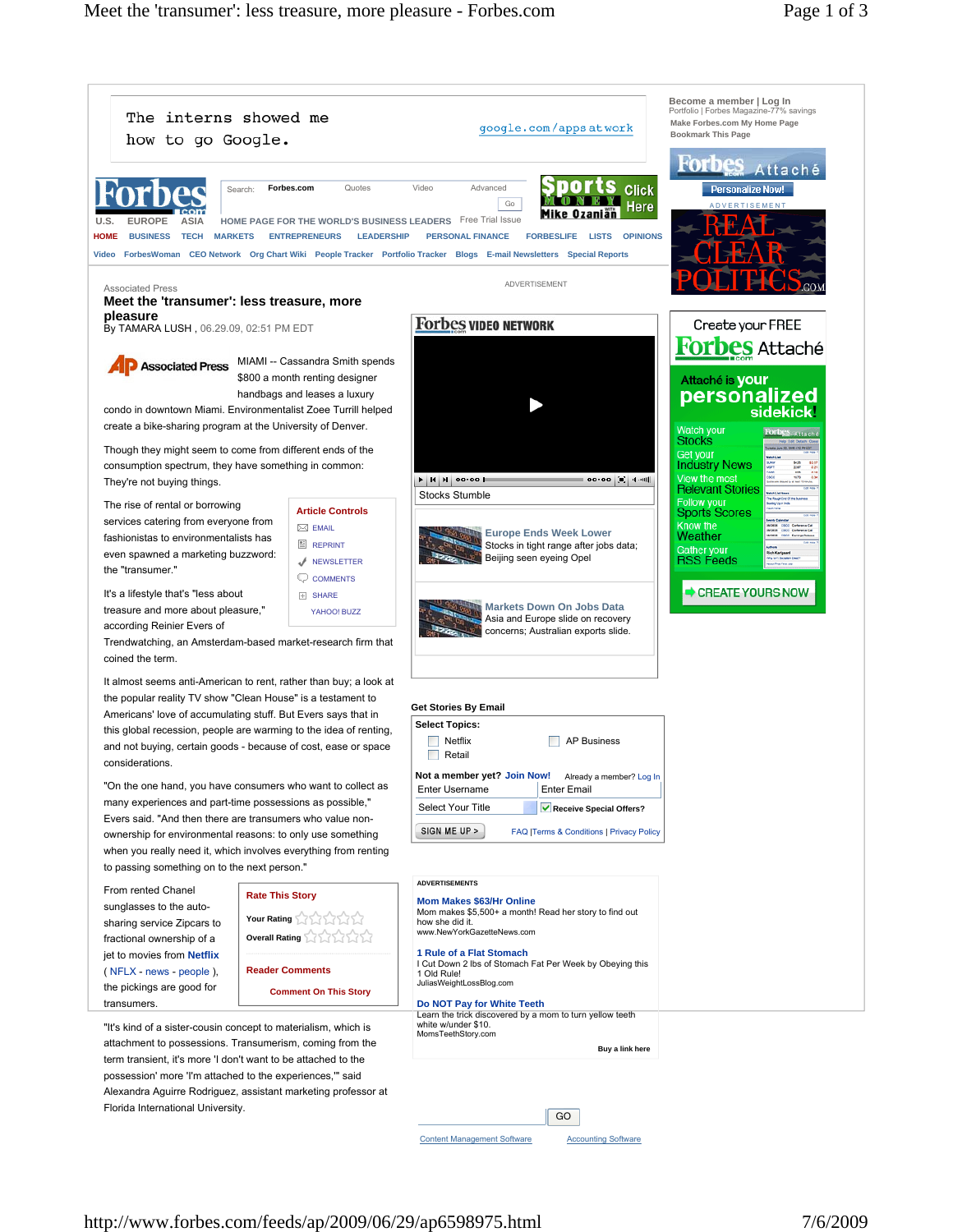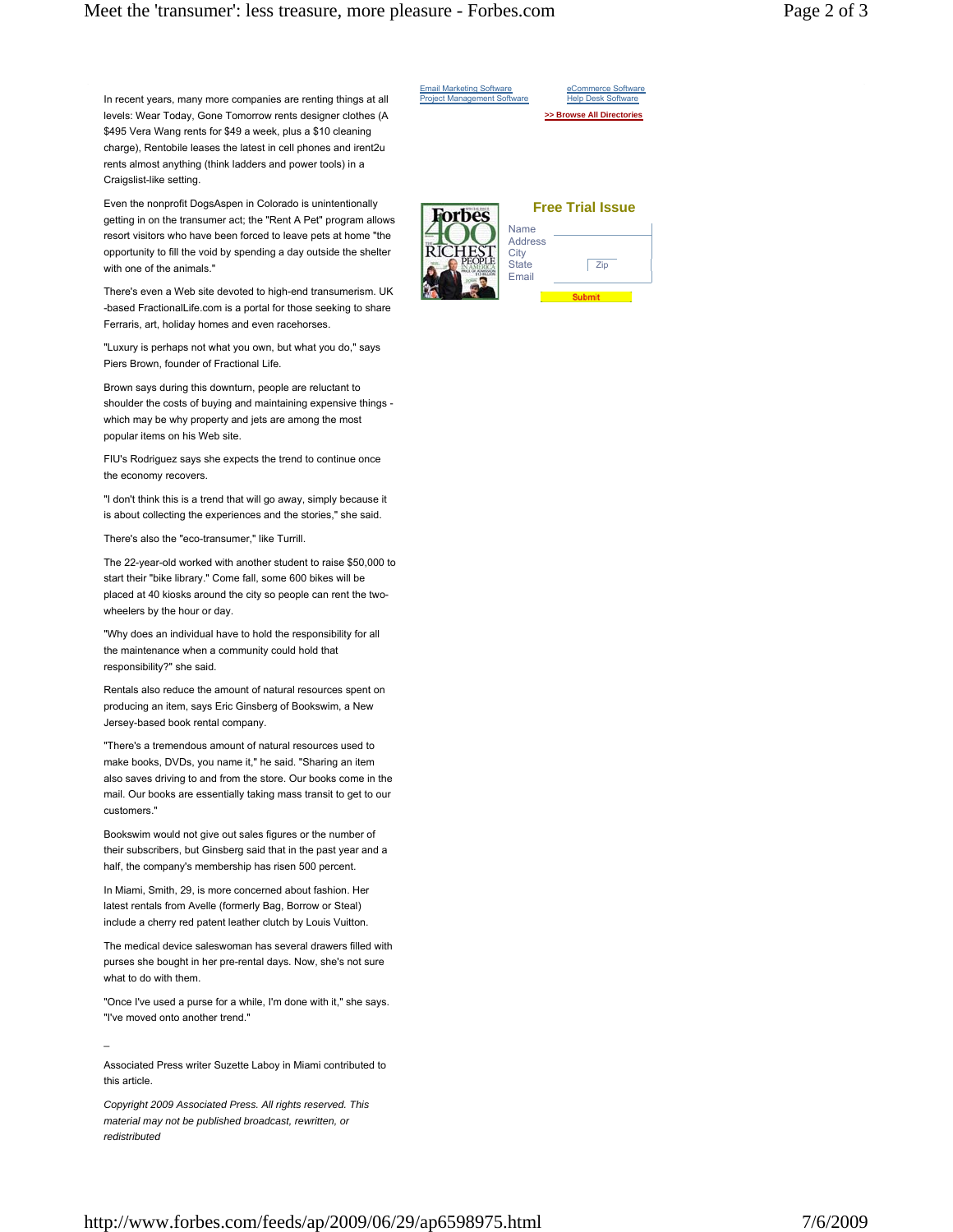In recent years, many more companies are renting things at all levels: Wear Today, Gone Tomorrow rents designer clothes (A \$495 Vera Wang rents for \$49 a week, plus a \$10 cleaning charge), Rentobile leases the latest in cell phones and irent2u rents almost anything (think ladders and power tools) in a Craigslist-like setting.

Even the nonprofit DogsAspen in Colorado is unintentionally getting in on the transumer act; the "Rent A Pet" program allows resort visitors who have been forced to leave pets at home "the opportunity to fill the void by spending a day outside the shelter with one of the animals."

There's even a Web site devoted to high-end transumerism. UK -based FractionalLife.com is a portal for those seeking to share Ferraris, art, holiday homes and even racehorses.

"Luxury is perhaps not what you own, but what you do," says Piers Brown, founder of Fractional Life.

Brown says during this downturn, people are reluctant to shoulder the costs of buying and maintaining expensive things which may be why property and jets are among the most popular items on his Web site.

FIU's Rodriguez says she expects the trend to continue once the economy recovers.

"I don't think this is a trend that will go away, simply because it is about collecting the experiences and the stories," she said.

There's also the "eco-transumer," like Turrill.

The 22-year-old worked with another student to raise \$50,000 to start their "bike library." Come fall, some 600 bikes will be placed at 40 kiosks around the city so people can rent the twowheelers by the hour or day.

"Why does an individual have to hold the responsibility for all the maintenance when a community could hold that responsibility?" she said.

Rentals also reduce the amount of natural resources spent on producing an item, says Eric Ginsberg of Bookswim, a New Jersey-based book rental company.

"There's a tremendous amount of natural resources used to make books, DVDs, you name it," he said. "Sharing an item also saves driving to and from the store. Our books come in the mail. Our books are essentially taking mass transit to get to our customers."

Bookswim would not give out sales figures or the number of their subscribers, but Ginsberg said that in the past year and a half, the company's membership has risen 500 percent.

In Miami, Smith, 29, is more concerned about fashion. Her latest rentals from Avelle (formerly Bag, Borrow or Steal) include a cherry red patent leather clutch by Louis Vuitton.

The medical device saleswoman has several drawers filled with purses she bought in her pre-rental days. Now, she's not sure what to do with them.

"Once I've used a purse for a while, I'm done with it," she says. "I've moved onto another trend."

Associated Press writer Suzette Laboy in Miami contributed to this article.

*Copyright 2009 Associated Press. All rights reserved. This material may not be published broadcast, rewritten, or redistributed*